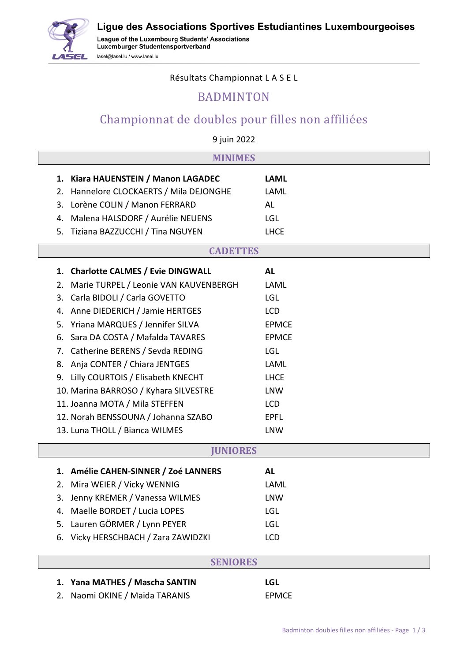Ligue des Associations Sportives Estudiantines Luxembourgeoises



League of the Luxembourg Students' Associations Luxemburger Studentensportverband lasel@lasel.lu / www.lasel.lu

Résultats Championnat L A S E L

### BADMINTON

# Championnat de doubles pour filles non affiliées

9 juin 2022

| <b>MINIMES</b> |                                       |              |  |
|----------------|---------------------------------------|--------------|--|
| 1.             | Kiara HAUENSTEIN / Manon LAGADEC      | <b>LAML</b>  |  |
| 2.             | Hannelore CLOCKAERTS / Mila DEJONGHE  | LAML         |  |
| 3.             | Lorène COLIN / Manon FERRARD          | AL           |  |
| 4.             | Malena HALSDORF / Aurélie NEUENS      | LGL          |  |
| 5.             | Tiziana BAZZUCCHI / Tina NGUYEN       | <b>LHCE</b>  |  |
|                | <b>CADETTES</b>                       |              |  |
|                |                                       |              |  |
|                | 1. Charlotte CALMES / Evie DINGWALL   | <b>AL</b>    |  |
| 2.             | Marie TURPEL / Leonie VAN KAUVENBERGH | LAML         |  |
| 3.             | Carla BIDOLI / Carla GOVETTO          | LGL          |  |
| 4.             | Anne DIEDERICH / Jamie HERTGES        | <b>LCD</b>   |  |
| 5.             | Yriana MARQUES / Jennifer SILVA       | <b>EPMCE</b> |  |
| 6.             | Sara DA COSTA / Mafalda TAVARES       | <b>EPMCE</b> |  |
| 7.             | Catherine BERENS / Sevda REDING       | LGL          |  |
| 8.             | Anja CONTER / Chiara JENTGES          | LAML         |  |
| 9.             | Lilly COURTOIS / Elisabeth KNECHT     | <b>LHCE</b>  |  |
|                | 10. Marina BARROSO / Kyhara SILVESTRE | <b>LNW</b>   |  |
|                | 11. Joanna MOTA / Mila STEFFEN        | <b>LCD</b>   |  |
|                | 12. Norah BENSSOUNA / Johanna SZABO   | <b>EPFL</b>  |  |
|                | 13. Luna THOLL / Bianca WILMES        | <b>LNW</b>   |  |
|                | <b>JUNIORES</b>                       |              |  |
|                | 1. Amélie CAHEN-SINNER / Zoé LANNERS  | <b>AL</b>    |  |
|                | 2. Mira WEIER / Vicky WENNIG          | LAML         |  |
| 3.             | Jenny KREMER / Vanessa WILMES         | <b>LNW</b>   |  |
|                | 4. Maelle BORDET / Lucia LOPES        | LGL          |  |
| 5.             | Lauren GÖRMER / Lynn PEYER            | LGL          |  |
| 6.             | Vicky HERSCHBACH / Zara ZAWIDZKI      | LCD          |  |
|                |                                       |              |  |

#### **SENIORES**

#### **1. Yana MATHES / Mascha SANTIN LGL**

2. Naomi OKINE / Maida TARANIS FIMCE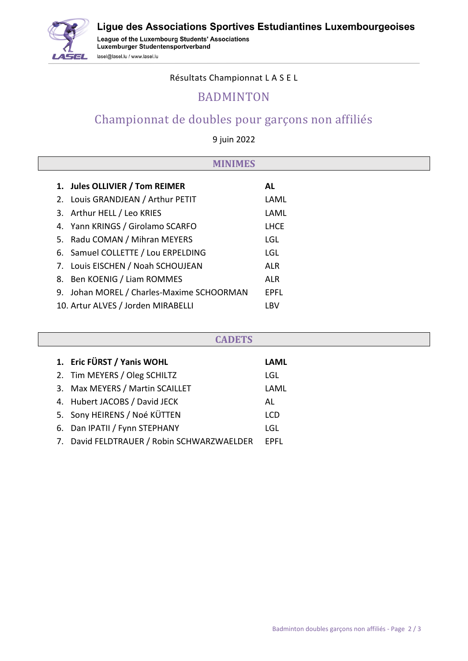Ligue des Associations Sportives Estudiantines Luxembourgeoises



League of the Luxembourg Students' Associations Luxemburger Studentensportverband lasel@lasel.lu / www.lasel.lu

Résultats Championnat L A S E L

### BADMINTON

## Championnat de doubles pour garçons non affiliés

9 juin 2022

| <b>MES</b> |                                        |             |  |
|------------|----------------------------------------|-------------|--|
|            | 1. Jules OLLIVIER / Tom REIMER         | AL.         |  |
|            | 2. Louis GRANDJEAN / Arthur PETIT      | LAML        |  |
|            | 3. Arthur HELL / Leo KRIES             | LAML        |  |
| 4.         | Yann KRINGS / Girolamo SCARFO          | <b>LHCE</b> |  |
| 5.         | Radu COMAN / Mihran MEYERS             | LGL         |  |
|            | 6. Samuel COLLETTE / Lou ERPELDING     | LGL         |  |
|            | 7. Louis EISCHEN / Noah SCHOUJEAN      | <b>ALR</b>  |  |
| 8.         | Ben KOENIG / Liam ROMMES               | <b>ALR</b>  |  |
| 9.         | Johan MOREL / Charles-Maxime SCHOORMAN | <b>EPFL</b> |  |
|            | 10. Artur ALVES / Jorden MIRABELLI     | LBV         |  |

| <b>CADETS</b> |                                            |             |  |  |
|---------------|--------------------------------------------|-------------|--|--|
|               | 1. Eric FÜRST / Yanis WOHL                 | <b>LAML</b> |  |  |
|               | 2. Tim MEYERS / Oleg SCHILTZ               | LGL         |  |  |
|               | 3. Max MEYERS / Martin SCAILLET            | LAML        |  |  |
|               | 4. Hubert JACOBS / David JECK              | AL          |  |  |
|               | 5. Sony HEIRENS / Noé KÜTTEN               | <b>LCD</b>  |  |  |
|               | 6. Dan IPATII / Fynn STEPHANY              | LGL         |  |  |
|               | 7. David FELDTRAUER / Robin SCHWARZWAELDER | <b>EPFL</b> |  |  |